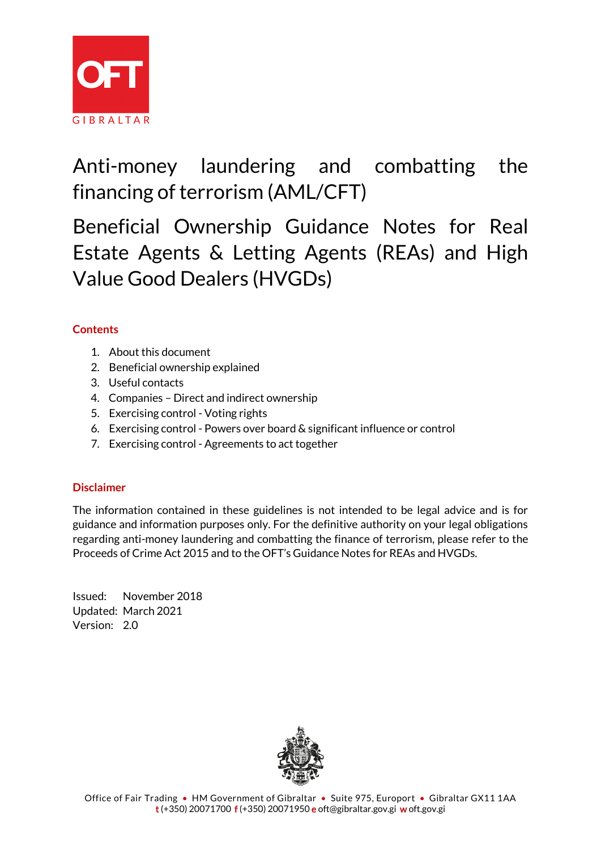

Anti-money laundering and combatting the financing of terrorism (AML/CFT)

Beneficial Ownership Guidance Notes for Real Estate Agents & Letting Agents (REAs) and High Value Good Dealers (HVGDs)

### **Contents**

- 1. About this document
- 2. Beneficial ownership explained
- 3. Useful contacts
- 4. Companies Direct and indirect ownership
- 5. Exercising control Voting rights
- 6. Exercising control Powers over board & significant influence or control
- 7. Exercising control Agreements to act together

### **Disclaimer**

The information contained in these guidelines is not intended to be legal advice and is for guidance and information purposes only. For the definitive authority on your legal obligations regarding anti-money laundering and combatting the finance of terrorism, please refer to the Proceeds of Crime Act 2015 and to the OFT's Guidance Notes for REAs and HVGDs.

Issued: November 2018 Updated: March 2021 Version: 2.0

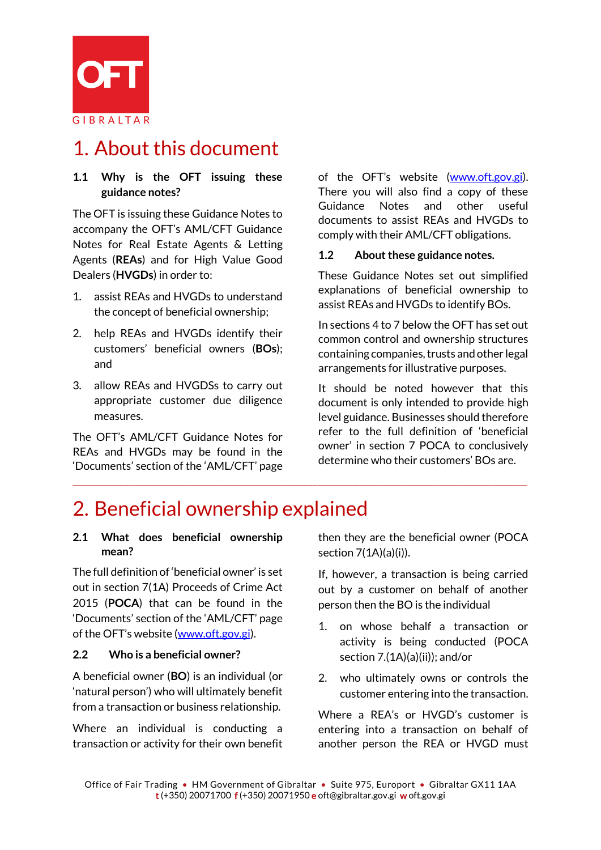

# 1. About this document

#### **1.1 Why is the OFT issuing these guidance notes?**

The OFT is issuing these Guidance Notes to accompany the OFT's AML/CFT Guidance Notes for Real Estate Agents & Letting Agents (**REAs**) and for High Value Good Dealers (**HVGDs**) in order to:

- 1. assist REAs and HVGDs to understand the concept of beneficial ownership;
- 2. help REAs and HVGDs identify their customers' beneficial owners (**BOs**); and
- 3. allow REAs and HVGDSs to carry out appropriate customer due diligence measures.

The OFT's AML/CFT Guidance Notes for REAs and HVGDs may be found in the 'Documents' section of the 'AML/CFT' page

of the OFT's website [\(www.oft.gov.gi\)](http://www.oft.gov.gi/). There you will also find a copy of these Guidance Notes and other useful documents to assist REAs and HVGDs to comply with their AML/CFT obligations.

#### **1.2 About these guidance notes.**

These Guidance Notes set out simplified explanations of beneficial ownership to assist REAs and HVGDs to identify BOs.

In sections 4 to 7 below the OFT has set out common control and ownership structures containing companies, trusts and other legal arrangements for illustrative purposes.

It should be noted however that this document is only intended to provide high level guidance. Businesses should therefore refer to the full definition of 'beneficial owner' in section 7 POCA to conclusively determine who their customers' BOs are.

## 2. Beneficial ownership explained

#### **2.1 What does beneficial ownership mean?**

The full definition of 'beneficial owner' is set out in section 7(1A) Proceeds of Crime Act 2015 (**POCA**) that can be found in the 'Documents' section of the 'AML/CFT' page of the OFT's website [\(www.oft.gov.gi\)](http://www.oft.gov.gi/).

#### **2.2 Who is a beneficial owner?**

A beneficial owner (**BO**) is an individual (or 'natural person') who will ultimately benefit from a transaction or business relationship.

Where an individual is conducting a transaction or activity for their own benefit then they are the beneficial owner (POCA section 7(1A)(a)(i)).

If, however, a transaction is being carried out by a customer on behalf of another person then the BO is the individual

- 1. on whose behalf a transaction or activity is being conducted (POCA section 7.(1A)(a)(ii)); and/or
- 2. who ultimately owns or controls the customer entering into the transaction.

Where a REA's or HVGD's customer is entering into a transaction on behalf of another person the REA or HVGD must

\_\_\_\_\_\_\_\_\_\_\_\_\_\_\_\_\_\_\_\_\_\_\_\_\_\_\_\_\_\_\_\_\_\_\_\_\_\_\_\_\_\_\_\_\_\_\_\_\_\_\_\_\_\_\_\_\_\_\_\_\_\_\_\_\_\_\_\_\_\_\_\_\_\_\_\_\_\_\_\_\_\_\_\_\_\_\_\_\_\_\_\_\_\_\_\_\_\_\_\_\_\_\_\_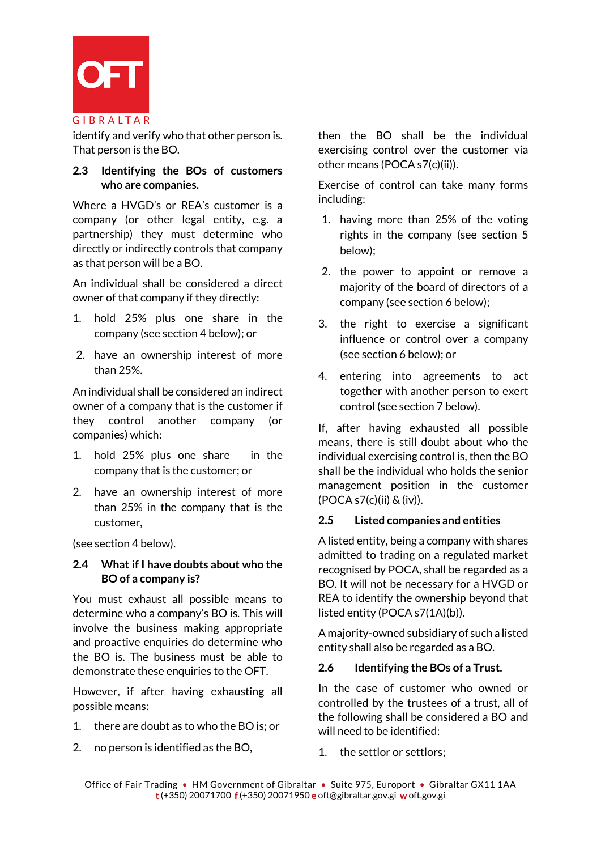

identify and verify who that other person is. That person is the BO.

#### **2.3 Identifying the BOs of customers who are companies.**

Where a HVGD's or REA's customer is a company (or other legal entity, e.g. a partnership) they must determine who directly or indirectly controls that company as that person will be a BO.

An individual shall be considered a direct owner of that company if they directly:

- 1. hold 25% plus one share in the company (see section 4 below); or
- 2. have an ownership interest of more than 25%.

An individual shall be considered an indirect owner of a company that is the customer if they control another company (or companies) which:

- 1. hold 25% plus one share in the company that is the customer; or
- 2. have an ownership interest of more than 25% in the company that is the customer,

(see section 4 below).

### **2.4 What if I have doubts about who the BO of a company is?**

You must exhaust all possible means to determine who a company's BO is. This will involve the business making appropriate and proactive enquiries do determine who the BO is. The business must be able to demonstrate these enquiries to the OFT.

However, if after having exhausting all possible means:

- 1. there are doubt as to who the BO is; or
- 2. no person is identified as the BO,

then the BO shall be the individual exercising control over the customer via other means (POCA s7(c)(ii)).

Exercise of control can take many forms including:

- 1. having more than 25% of the voting rights in the company (see section 5 below);
- 2. the power to appoint or remove a majority of the board of directors of a company (see section 6 below);
- 3. the right to exercise a significant influence or control over a company (see section 6 below); or
- 4. entering into agreements to act together with another person to exert control (see section 7 below).

If, after having exhausted all possible means, there is still doubt about who the individual exercising control is, then the BO shall be the individual who holds the senior management position in the customer (POCA s7(c)(ii) & (iv)).

#### **2.5 Listed companies and entities**

A listed entity, being a company with shares admitted to trading on a regulated market recognised by POCA, shall be regarded as a BO. It will not be necessary for a HVGD or REA to identify the ownership beyond that listed entity (POCA s7(1A)(b)).

A majority-owned subsidiary of such a listed entity shall also be regarded as a BO.

#### **2.6 Identifying the BOs of a Trust.**

In the case of customer who owned or controlled by the trustees of a trust, all of the following shall be considered a BO and will need to be identified:

1. the settlor or settlors;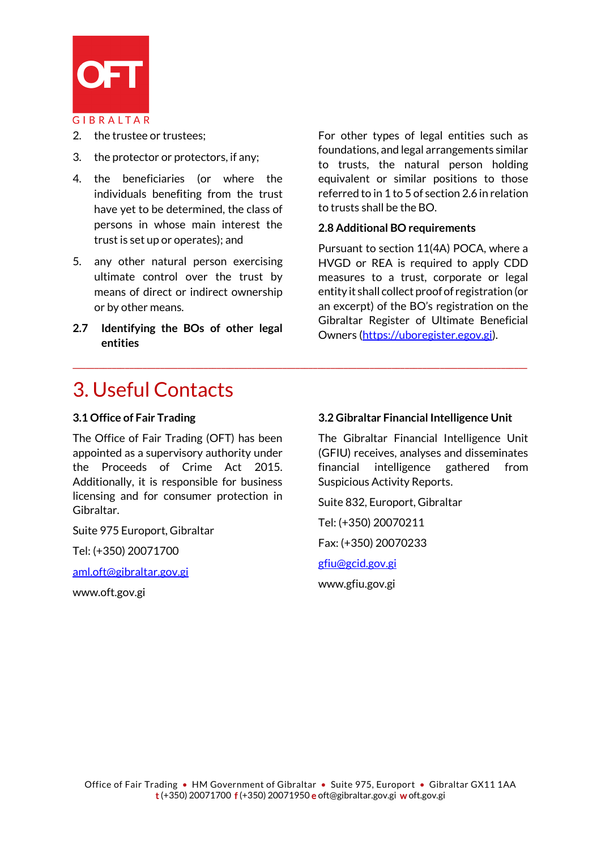

- 2. the trustee or trustees;
- 3. the protector or protectors, if any;
- 4. the beneficiaries (or where the individuals benefiting from the trust have yet to be determined, the class of persons in whose main interest the trust is set up or operates); and
- 5. any other natural person exercising ultimate control over the trust by means of direct or indirect ownership or by other means.
- **2.7 Identifying the BOs of other legal entities**

For other types of legal entities such as foundations, and legal arrangements similar to trusts, the natural person holding equivalent or similar positions to those referred to in 1 to 5 of section 2.6 in relation to trusts shall be the BO.

#### **2.8 Additional BO requirements**

Pursuant to section 11(4A) POCA, where a HVGD or REA is required to apply CDD measures to a trust, corporate or legal entity it shall collect proof of registration (or an excerpt) of the BO's registration on the Gibraltar Register of Ultimate Beneficial Owners [\(https://uboregister.egov.gi\)](https://uboregister.egov.gi/).

### 3. Useful Contacts

#### **3.1 Office of Fair Trading**

The Office of Fair Trading (OFT) has been appointed as a supervisory authority under the Proceeds of Crime Act 2015. Additionally, it is responsible for business licensing and for consumer protection in Gibraltar.

Suite 975 Europort, Gibraltar

Tel: (+350) 20071700

[aml.oft@gibraltar.gov.gi](mailto:aml.oft@gibraltar.gov.gi) 

www.oft.gov.gi

#### **3.2 Gibraltar Financial Intelligence Unit**

The Gibraltar Financial Intelligence Unit (GFIU) receives, analyses and disseminates financial intelligence gathered from Suspicious Activity Reports.

Suite 832, Europort, Gibraltar

Tel: (+350) 20070211

Fax: (+350) 20070233

[gfiu@gcid.gov.gi](mailto:gfiu@gcid.gov.gi)

www.gfiu.gov.gi

\_\_\_\_\_\_\_\_\_\_\_\_\_\_\_\_\_\_\_\_\_\_\_\_\_\_\_\_\_\_\_\_\_\_\_\_\_\_\_\_\_\_\_\_\_\_\_\_\_\_\_\_\_\_\_\_\_\_\_\_\_\_\_\_\_\_\_\_\_\_\_\_\_\_\_\_\_\_\_\_\_\_\_\_\_\_\_\_\_\_\_\_\_\_\_\_\_\_\_\_\_\_\_\_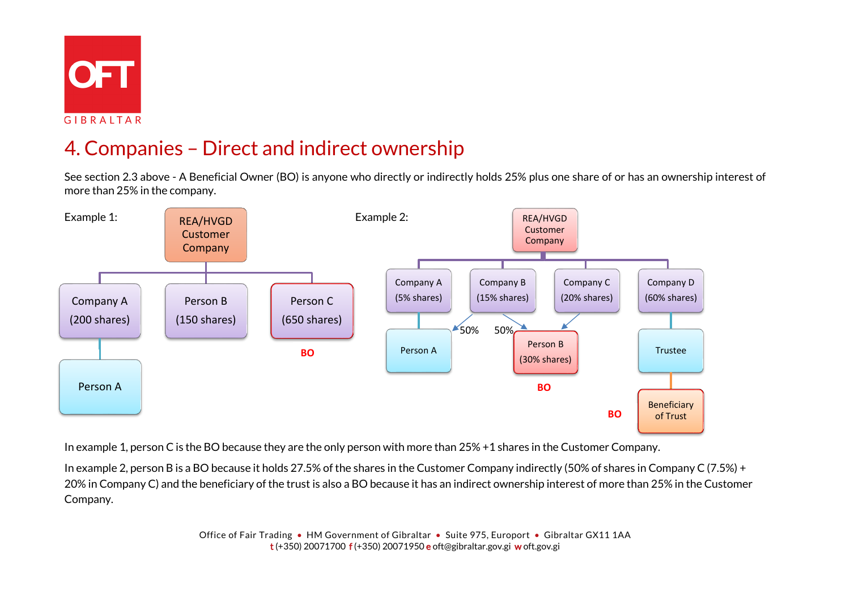

GIBRALTAR

# 4. Companies – Direct and indirect ownership

See section 2.3 above - A Beneficial Owner (BO) is anyone who directly or indirectly holds 25% plus one share of or has an ownership interest of more than 25% in the company.



In example 1, person C is the BO because they are the only person with more than 25% +1 shares in the Customer Company.

In example 2, person B is a BO because it holds 27.5% of the shares in the Customer Company indirectly (50% of shares in Company C (7.5%) + 20% in Company C) and the beneficiary of the trust is also a BO because it has an indirect ownership interest of more than 25% in the Customer Company.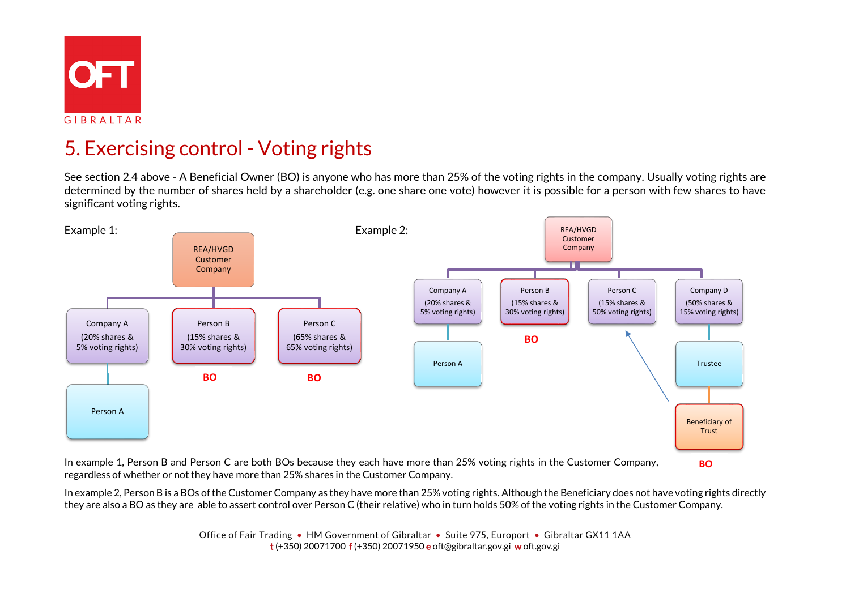

GIBRALTAR

# 5. Exercising control - Voting rights

See section 2.4 above - A Beneficial Owner (BO) is anyone who has more than 25% of the voting rights in the company. Usually voting rights are determined by the number of shares held by a shareholder (e.g. one share one vote) however it is possible for a person with few shares to have significant voting rights.



In example 1, Person B and Person C are both BOs because they each have more than 25% voting rights in the Customer Company, regardless of whether or not they have more than 25% shares in the Customer Company.

**BO**

In example 2, Person B is a BOs of the Customer Company as they have more than 25% voting rights. Although the Beneficiary does not have voting rights directly they are also a BO as they are able to assert control over Person C (their relative) who in turn holds 50% of the voting rights in the Customer Company.

> Office of Fair Trading • HM Government of Gibraltar • Suite 975, Europort • Gibraltar GX11 1AA t (+350) 20071700 f (+350) 20071950 e oft@gibraltar.gov.gi w oft.gov.gi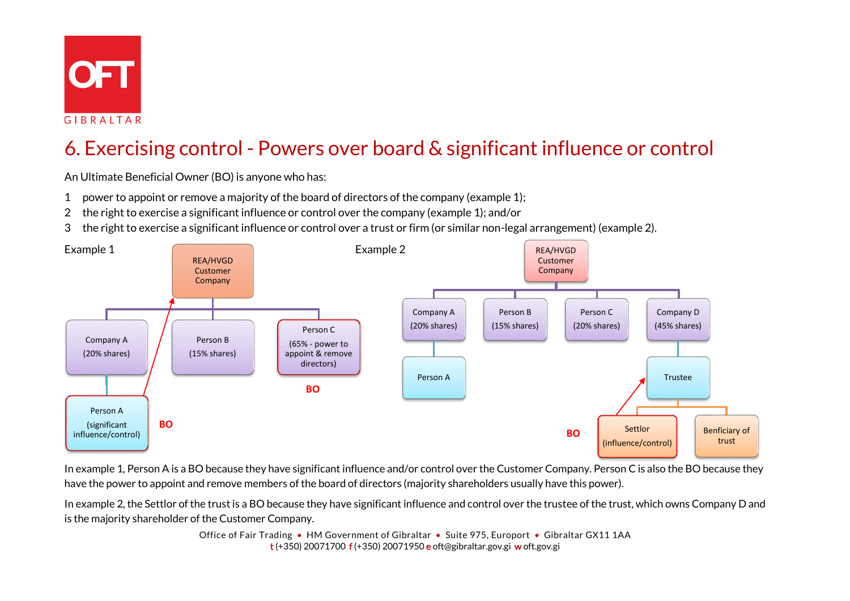

GIBRALTAR

# 6. Exercising control - Powers over board & significant influence or control

An Ultimate Beneficial Owner (BO) is anyone who has:

- 1 power to appoint or remove a majority of the board of directors of the company (example 1);
- 2 the right to exercise a significant influence or control over the company (example 1); and/or
- 3 the right to exercise a significant influence or control over a trust or firm (or similar non-legal arrangement) (example 2).



In example 1, Person A is a BO because they have significant influence and/or control over the Customer Company. Person C is also the BO because they have the power to appoint and remove members of the board of directors (majority shareholders usually have this power).

In example 2, the Settlor of the trust is a BO because they have significant influence and control over the trustee of the trust, which owns Company D and is the majority shareholder of the Customer Company.

> Office of Fair Trading • HM Government of Gibraltar • Suite 975, Europort • Gibraltar GX11 1AA t (+350) 20071700 f (+350) 20071950 e oft@gibraltar.gov.gi w oft.gov.gi